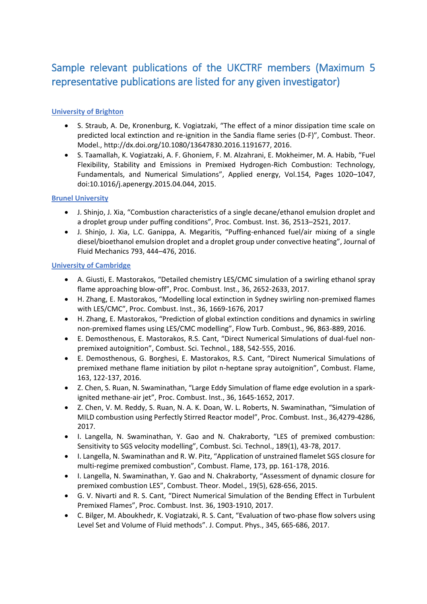# Sample relevant publications of the UKCTRF members (Maximum 5 representative publications are listed for any given investigator)

# **University of Brighton**

- S. Straub, A. De, Kronenburg, K. Vogiatzaki, "The effect of a minor dissipation time scale on predicted local extinction and re-ignition in the Sandia flame series (D-F)", Combust. Theor. Model., http://dx.doi.org/10.1080/13647830.2016.1191677, 2016.
- S. Taamallah, K. Vogiatzaki, A. F. Ghoniem, F. M. Alzahrani, E. Mokheimer, M. A. Habib, "Fuel Flexibility, Stability and Emissions in Premixed Hydrogen-Rich Combustion: Technology, Fundamentals, and Numerical Simulations", Applied energy, Vol.154, Pages 1020–1047, doi:10.1016/j.apenergy.2015.04.044, 2015.

# **Brunel University**

- J. Shinjo, J. Xia, "Combustion characteristics of a single decane/ethanol emulsion droplet and a droplet group under puffing conditions", Proc. Combust. Inst. 36, 2513–2521, 2017.
- J. Shinjo, J. Xia, L.C. Ganippa, A. Megaritis, "Puffing-enhanced fuel/air mixing of a single diesel/bioethanol emulsion droplet and a droplet group under convective heating", Journal of Fluid Mechanics 793, 444–476, 2016.

#### **University of Cambridge**

- A. Giusti, E. Mastorakos, "Detailed chemistry LES/CMC simulation of a swirling ethanol spray flame approaching blow-off", Proc. Combust. Inst., 36, 2652-2633, 2017.
- H. Zhang, E. Mastorakos, "Modelling local extinction in Sydney swirling non-premixed flames with LES/CMC", Proc. Combust. Inst., 36, 1669-1676, 2017
- H. Zhang, E. Mastorakos, "Prediction of global extinction conditions and dynamics in swirling non-premixed flames using LES/CMC modelling", Flow Turb. Combust., 96, 863-889, 2016.
- E. Demosthenous, E. Mastorakos, R.S. Cant, "Direct Numerical Simulations of dual-fuel nonpremixed autoignition", Combust. Sci. Technol., 188, 542-555, 2016.
- E. Demosthenous, G. Borghesi, E. Mastorakos, R.S. Cant, "Direct Numerical Simulations of premixed methane flame initiation by pilot n-heptane spray autoignition", Combust. Flame, 163, 122-137, 2016.
- Z. Chen, S. Ruan, N. Swaminathan, "Large Eddy Simulation of flame edge evolution in a sparkignited methane-air jet", Proc. Combust. Inst., 36, 1645-1652, 2017.
- Z. Chen, V. M. Reddy, S. Ruan, N. A. K. Doan, W. L. Roberts, N. Swaminathan, "Simulation of MILD combustion using Perfectly Stirred Reactor model", Proc. Combust. Inst., 36,4279-4286, 2017.
- I. Langella, N. Swaminathan, Y. Gao and N. Chakraborty, "LES of premixed combustion: Sensitivity to SGS velocity modelling", Combust. Sci. Technol., 189(1), 43-78, 2017.
- I. Langella, N. Swaminathan and R. W. Pitz, "Application of unstrained flamelet SGS closure for multi-regime premixed combustion", Combust. Flame, 173, pp. 161-178, 2016.
- I. Langella, N. Swaminathan, Y. Gao and N. Chakraborty, "Assessment of dynamic closure for premixed combustion LES", Combust. Theor. Model., 19(5), 628-656, 2015.
- G. V. Nivarti and R. S. Cant, "Direct Numerical Simulation of the Bending Effect in Turbulent Premixed Flames", Proc. Combust. Inst. 36, 1903-1910, 2017.
- C. Bilger, M. Aboukhedr, K. Vogiatzaki, R. S. Cant, "Evaluation of two-phase flow solvers using Level Set and Volume of Fluid methods". J. Comput. Phys., 345, 665-686, 2017.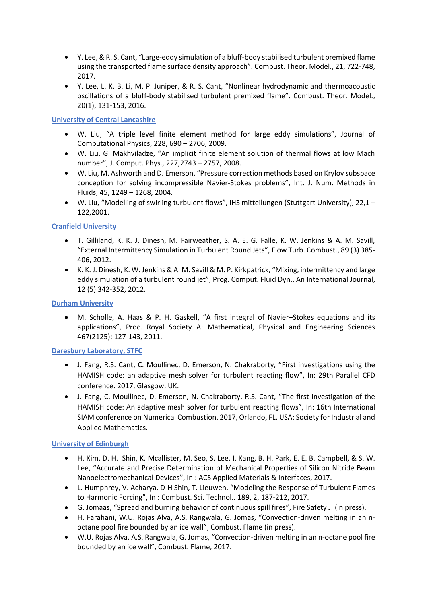- Y. Lee, & R. S. Cant, "Large-eddy simulation of a bluff-body stabilised turbulent premixed flame using the transported flame surface density approach". Combust. Theor. Model., 21, 722-748, 2017.
- Y. Lee, L. K. B. Li, M. P. Juniper, & R. S. Cant, "Nonlinear hydrodynamic and thermoacoustic oscillations of a bluff-body stabilised turbulent premixed flame". Combust. Theor. Model., 20(1), 131-153, 2016.

# **University of Central Lancashire**

- W. Liu, "A triple level finite element method for large eddy simulations", Journal of Computational Physics, 228, 690 – 2706, 2009.
- W. Liu, G. Makhviladze, "An implicit finite element solution of thermal flows at low Mach number", J. Comput. Phys., 227,2743 – 2757, 2008.
- W. Liu, M. Ashworth and D. Emerson, "Pressure correction methods based on Krylov subspace conception for solving incompressible Navier-Stokes problems", Int. J. Num. Methods in Fluids, 45, 1249 – 1268, 2004.
- W. Liu, "Modelling of swirling turbulent flows", IHS mitteilungen (Stuttgart University), 22,1 122,2001.

# **Cranfield University**

- T. Gilliland, K. K. J. Dinesh, M. Fairweather, S. A. E. G. Falle, K. W. Jenkins & A. M. Savill, "External Intermittency Simulation in Turbulent Round Jets", Flow Turb. Combust., 89 (3) 385- 406, 2012.
- K. K. J. Dinesh, K. W. Jenkins & A. M. Savill & M. P. Kirkpatrick, "Mixing, intermittency and large eddy simulation of a turbulent round jet", Prog. Comput. Fluid Dyn., An International Journal, 12 (5) 342-352, 2012.

# **Durham University**

 M. Scholle, A. Haas & P. H. Gaskell, "A first integral of Navier–Stokes equations and its applications", Proc. Royal Society A: Mathematical, Physical and Engineering Sciences 467(2125): 127-143, 2011.

# **Daresbury Laboratory, STFC**

- J. Fang, R.S. Cant, C. Moullinec, D. Emerson, N. Chakraborty, "First investigations using the HAMISH code: an adaptive mesh solver for turbulent reacting flow", In: 29th Parallel CFD conference. 2017, Glasgow, UK.
- J. Fang, C. Moullinec, D. Emerson, N. Chakraborty, R.S. Cant, "The first investigation of the HAMISH code: An adaptive mesh solver for turbulent reacting flows", In: 16th International SIAM conference on Numerical Combustion. 2017, Orlando, FL, USA: Society for Industrial and Applied Mathematics.

# **University of Edinburgh**

- H. Kim, D. H. Shin, K. Mcallister, M. Seo, S. Lee, I. Kang, B. H. Park, E. E. B. Campbell, & S. W. Lee, "Accurate and Precise Determination of Mechanical Properties of Silicon Nitride Beam Nanoelectromechanical Devices", In : ACS Applied Materials & Interfaces, 2017.
- L. Humphrey, V. Acharya, D-H Shin, T. Lieuwen, "Modeling the Response of Turbulent Flames to Harmonic Forcing", In : Combust. Sci. Technol.. 189, 2, 187-212, 2017.
- G. Jomaas, "Spread and burning behavior of continuous spill fires", Fire Safety J. (in press).
- H. Farahani, W.U. Rojas Alva, A.S. Rangwala, G. Jomas, "Convection-driven melting in an noctane pool fire bounded by an ice wall", Combust. Flame (in press).
- W.U. Rojas Alva, A.S. Rangwala, G. Jomas, "Convection-driven melting in an n-octane pool fire bounded by an ice wall", Combust. Flame, 2017.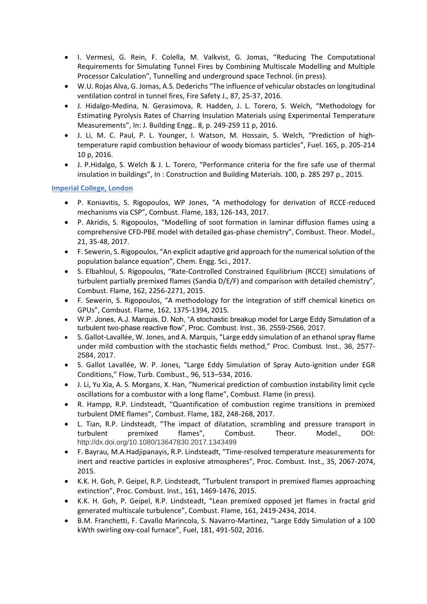- I. Vermesi, G. Rein, F. Colella, M. Valkvist, G. Jomas, "Reducing The Computational Requirements for Simulating Tunnel Fires by Combining Multiscale Modelling and Multiple Processor Calculation", Tunnelling and underground space Technol. (in press).
- W.U. Rojas Alva, G. Jomas, A.S. Dederichs "The influence of vehicular obstacles on longitudinal ventilation control in tunnel fires, Fire Safety J., 87, 25-37, 2016.
- J. Hidalgo-Medina, N. Gerasimova, R. Hadden, J. L. Torero, S. Welch, "Methodology for Estimating Pyrolysis Rates of Charring Insulation Materials using Experimental Temperature Measurements", In: J. Building Engg.. 8, p. 249-259 11 p, 2016.
- J. Li, M. C. Paul, P. L. Younger, I. Watson, M. Hossain, S. Welch, "Prediction of hightemperature rapid combustion behaviour of woody biomass particles", Fuel. 165, p. 205-214 10 p, 2016.
- J. P.Hidalgo, S. Welch & J. L. Torero, "Performance criteria for the fire safe use of thermal insulation in buildings", In : Construction and Building Materials. 100, p. 285 297 p., 2015.

#### **Imperial College, London**

- P. Koniavitis, S. Rigopoulos, WP Jones, "A methodology for derivation of RCCE-reduced mechanisms via CSP", Combust. Flame, 183, 126-143, 2017.
- P. Akridis, S. Rigopoulos, "Modelling of soot formation in laminar diffusion flames using a comprehensive CFD-PBE model with detailed gas-phase chemistry", Combust. Theor. Model., 21, 35-48, 2017.
- F. Sewerin, S. Rigopoulos, "An explicit adaptive grid approach for the numerical solution of the population balance equation", Chem. Engg. Sci., 2017.
- S. Elbahloul, S. Rigopoulos, "Rate-Controlled Constrained Equilibrium (RCCE) simulations of turbulent partially premixed flames (Sandia D/E/F) and comparison with detailed chemistry", Combust. Flame, 162, 2256-2271, 2015.
- F. Sewerin, S. Rigopoulos, "A methodology for the integration of stiff chemical kinetics on GPUs", Combust. Flame, 162, 1375-1394, 2015.
- W.P. Jones, A.J. Marquis, D. Noh, "A stochastic breakup model for Large Eddy Simulation of a turbulent two-phase reactive flow", Proc. Combust. Inst., 36, 2559-2566, 2017.
- S. Gallot-Lavallée, W. Jones, and A. Marquis, "Large eddy simulation of an ethanol spray flame under mild combustion with the stochastic fields method," Proc. Combust. Inst., 36, 2577- 2584, 2017.
- S. Gallot Lavallée, W. P. Jones, "Large Eddy Simulation of Spray Auto-ignition under EGR Conditions," Flow, Turb. Combust., 96, 513–534, 2016.
- J. Li, Yu Xia, A. S. Morgans, X. Han, "Numerical prediction of combustion instability limit cycle oscillations for a combustor with a long flame", Combust. Flame (in press).
- R. Hampp, R.P. Lindsteadt, "Quantification of combustion regime transitions in premixed turbulent DME flames", Combust. Flame, 182, 248-268, 2017.
- L. Tian, R.P. Lindsteadt, "The impact of dilatation, scrambling and pressure transport in turbulent premixed flames", Combust. Theor. Model., DOI: http://dx.doi.org/10.1080/13647830.2017.1343499
- F. Bayrau, M.A.Hadjipanayis, R.P. Lindsteadt, "Time-resolved temperature measurements for inert and reactive particles in explosive atmospheres", Proc. Combust. Inst., 35, 2067-2074, 2015.
- K.K. H. Goh, P. Geipel, R.P. Lindsteadt, "Turbulent transport in premixed flames approaching extinction", Proc. Combust. Inst., 161, 1469-1476, 2015.
- K.K. H. Goh, P. Geipel, R.P. Lindsteadt, "Lean premixed opposed jet flames in fractal grid generated multiscale turbulence", Combust. Flame, 161, 2419-2434, 2014.
- B.M. Franchetti, F. Cavallo Marincola, S. Navarro-Martinez, "Large Eddy Simulation of a 100 kWth swirling oxy-coal furnace", Fuel, 181, 491-502, 2016.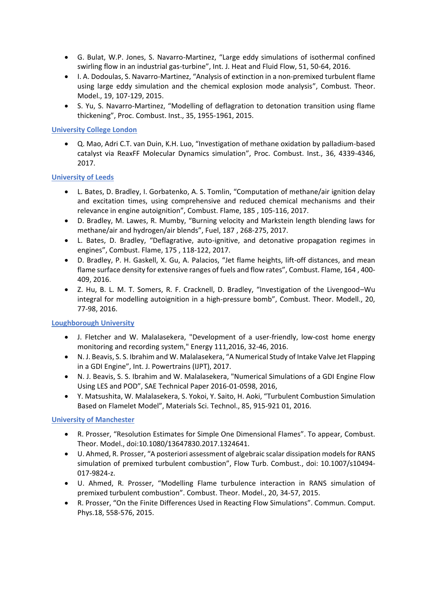- G. Bulat, W.P. Jones, S. Navarro-Martinez, "Large eddy simulations of isothermal confined swirling flow in an industrial gas-turbine", Int. J. Heat and Fluid Flow, 51, 50-64, 2016.
- I. A. Dodoulas, S. Navarro-Martinez, "Analysis of extinction in a non-premixed turbulent flame using large eddy simulation and the chemical explosion mode analysis", Combust. Theor. Model., 19, 107-129, 2015.
- S. Yu, S. Navarro-Martinez, "Modelling of deflagration to detonation transition using flame thickening", Proc. Combust. Inst., 35, 1955-1961, 2015.

#### **University College London**

 Q. Mao, Adri C.T. van Duin, K.H. Luo, "Investigation of methane oxidation by palladium-based catalyst via ReaxFF Molecular Dynamics simulation", Proc. Combust. Inst., 36, 4339-4346, 2017.

#### **University of Leeds**

- L. Bates, D. Bradley, I. Gorbatenko, A. S. Tomlin, "Computation of methane/air ignition delay and excitation times, using comprehensive and reduced chemical mechanisms and their relevance in engine autoignition", Combust. Flame, 185 , 105-116, 2017.
- D. Bradley, M. Lawes, R. Mumby, "Burning velocity and Markstein length blending laws for methane/air and hydrogen/air blends", Fuel, 187 , 268-275, 2017.
- L. Bates, D. Bradley, "Deflagrative, auto-ignitive, and detonative propagation regimes in engines", Combust. Flame, 175 , 118-122, 2017.
- D. Bradley, P. H. Gaskell, X. Gu, A. Palacios, "Jet flame heights, lift-off distances, and mean flame surface density for extensive ranges of fuels and flow rates", Combust. Flame, 164 , 400- 409, 2016.
- Z. Hu, B. L. M. T. Somers, R. F. Cracknell, D. Bradley, "Investigation of the Livengood–Wu integral for modelling autoignition in a high-pressure bomb", Combust. Theor. Modell., 20, 77-98, 2016.

# **Loughborough University**

- J. Fletcher and W. Malalasekera, "Development of a user-friendly, low-cost home energy monitoring and recording system," Energy 111,2016, 32-46, 2016.
- N. J. Beavis, S. S. Ibrahim and W. Malalasekera, "A Numerical Study of Intake Valve Jet Flapping in a GDI Engine", Int. J. Powertrains (IJPT), 2017.
- N. J. Beavis, S. S. Ibrahim and W. Malalasekera, "Numerical Simulations of a GDI Engine Flow Using LES and POD", SAE Technical Paper 2016-01-0598, 2016,
- Y. Matsushita, W. Malalasekera, S. Yokoi, Y. Saito, H. Aoki, "Turbulent Combustion Simulation Based on Flamelet Model", Materials Sci. Technol., 85, 915-921 01, 2016.

# **University of Manchester**

- R. Prosser, "Resolution Estimates for Simple One Dimensional Flames". To appear, Combust. Theor. Model., doi:10.1080/13647830.2017.1324641.
- U. Ahmed, R. Prosser, "A posteriori assessment of algebraic scalar dissipation models for RANS simulation of premixed turbulent combustion", Flow Turb. Combust., doi: 10.1007/s10494- 017-9824-z.
- U. Ahmed, R. Prosser, "Modelling Flame turbulence interaction in RANS simulation of premixed turbulent combustion". Combust. Theor. Model., 20, 34-57, 2015.
- R. Prosser, "On the Finite Differences Used in Reacting Flow Simulations". Commun. Comput. Phys.18, 558-576, 2015.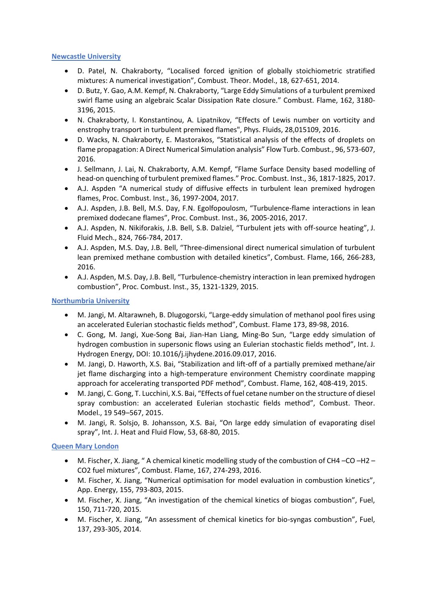#### **Newcastle University**

- D. Patel, N. Chakraborty, "Localised forced ignition of globally stoichiometric stratified mixtures: A numerical investigation", Combust. Theor. Model., 18, 627-651, 2014.
- D. Butz, Y. Gao, A.M. Kempf, N. Chakraborty, "Large Eddy Simulations of a turbulent premixed swirl flame using an algebraic Scalar Dissipation Rate closure." Combust. Flame, 162, 3180- 3196, 2015.
- N. Chakraborty, I. Konstantinou, A. Lipatnikov, "Effects of Lewis number on vorticity and enstrophy transport in turbulent premixed flames", Phys. Fluids, 28,015109, 2016.
- D. Wacks, N. Chakraborty, E. Mastorakos, "Statistical analysis of the effects of droplets on flame propagation: A Direct Numerical Simulation analysis" Flow Turb. Combust., 96, 573-607, 2016.
- J. Sellmann, J. Lai, N. Chakraborty, A.M. Kempf, "Flame Surface Density based modelling of head-on quenching of turbulent premixed flames." Proc. Combust. Inst., 36, 1817-1825, 2017.
- A.J. Aspden "[A numerical study of diffusive effects in turbulent lean premixed hydrogen](http://www.ncl.ac.uk/engineering/staff/profile/andrewaspden.html#231567)  [flames,](http://www.ncl.ac.uk/engineering/staff/profile/andrewaspden.html#231567) Proc. Combust. Inst., 36, 1997-2004, 2017.
- A.J. Aspden, J.B. Bell, M.S. Day, F.N. Egolfopoulosm, "[Turbulence-flame interactions in lean](http://www.ncl.ac.uk/engineering/staff/profile/andrewaspden.html#231568)  [premixed dodecane flames](http://www.ncl.ac.uk/engineering/staff/profile/andrewaspden.html#231568)", Proc. Combust. Inst., 36, 2005-2016, 2017.
- A.J. Aspden, N. Nikiforakis, J.B. Bell, S.B. Dalziel, "[Turbulent jets with off-source heating](http://www.ncl.ac.uk/engineering/staff/profile/andrewaspden.html#231565)", J. Fluid Mech., 824, 766-784, 2017.
- A.J. Aspden, M.S. Day, J.B. Bell, "[Three-dimensional direct numerical simulation of turbulent](http://www.ncl.ac.uk/engineering/staff/profile/andrewaspden.html#231569)  [lean premixed methane combustion with detailed kinetics](http://www.ncl.ac.uk/engineering/staff/profile/andrewaspden.html#231569)", Combust. Flame, 166, 266-283, 2016.
- A.J. Aspden, M.S. Day, J.B. Bell, "[Turbulence-chemistry interaction in lean premixed hydrogen](http://www.ncl.ac.uk/engineering/staff/profile/andrewaspden.html#231570)  [combustion](http://www.ncl.ac.uk/engineering/staff/profile/andrewaspden.html#231570)", Proc. Combust. Inst., 35, 1321-1329, 2015.

#### **Northumbria University**

- M. Jangi, M. Altarawneh, B. Dlugogorski, "Large-eddy simulation of methanol pool fires using an accelerated Eulerian stochastic fields method", Combust. Flame 173, 89-98, 2016.
- C. Gong, M. Jangi, Xue-Song Bai, Jian-Han Liang, Ming-Bo Sun, "Large eddy simulation of hydrogen combustion in supersonic flows using an Eulerian stochastic fields method", Int. J. Hydrogen Energy, DOI: 10.1016/j.ijhydene.2016.09.017, 2016.
- M. Jangi, D. Haworth, X.S. Bai, "Stabilization and lift-off of a partially premixed methane/air jet flame discharging into a high-temperature environment Chemistry coordinate mapping approach for accelerating transported PDF method", Combust. Flame, 162, 408-419, 2015.
- M. Jangi, C. Gong, T. Lucchini, X.S. Bai, "Effects of fuel cetane number on the structure of diesel spray combustion: an accelerated Eulerian stochastic fields method", Combust. Theor. Model., 19 549–567, 2015.
- M. Jangi, R. Solsjo, B. Johansson, X.S. Bai, "On large eddy simulation of evaporating disel spray", Int. J. Heat and Fluid Flow, 53, 68-80, 2015.

# **Queen Mary London**

- M. Fischer, X. Jiang, " A chemical kinetic modelling study of the combustion of CH4 –CO –H2 CO2 fuel mixtures", Combust. Flame, 167, 274-293, 2016.
- M. Fischer, X. Jiang, "Numerical optimisation for model evaluation in combustion kinetics", App. Energy, 155, 793-803, 2015.
- M. Fischer, X. Jiang, "An investigation of the chemical kinetics of biogas combustion", Fuel, 150, 711-720, 2015.
- M. Fischer, X. Jiang, "An assessment of chemical kinetics for bio-syngas combustion", Fuel, 137, 293-305, 2014.